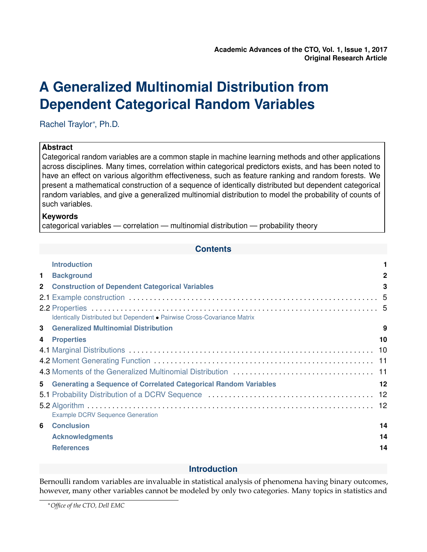# <span id="page-0-0"></span>**A Generalized Multinomial Distribution from Dependent Categorical Random Variables**

Rachel Traylor<sup>∗</sup> , Ph.D.

# **Abstract**

Categorical random variables are a common staple in machine learning methods and other applications across disciplines. Many times, correlation within categorical predictors exists, and has been noted to have an effect on various algorithm effectiveness, such as feature ranking and random forests. We present a mathematical construction of a sequence of identically distributed but dependent categorical random variables, and give a generalized multinomial distribution to model the probability of counts of such variables.

# **Keywords**

categorical variables — correlation — multinomial distribution — probability theory

# **Contents**

|              | <b>Introduction</b>                                                      |              |
|--------------|--------------------------------------------------------------------------|--------------|
| $\mathbf{1}$ | <b>Background</b>                                                        | $\mathbf{2}$ |
| $\mathbf{2}$ | <b>Construction of Dependent Categorical Variables</b>                   | 3            |
|              |                                                                          |              |
|              |                                                                          |              |
|              | Identically Distributed but Dependent . Pairwise Cross-Covariance Matrix |              |
| 3            | <b>Generalized Multinomial Distribution</b>                              | 9            |
| 4            | <b>Properties</b>                                                        | 10           |
|              |                                                                          |              |
|              |                                                                          |              |
|              |                                                                          |              |
| 5            | <b>Generating a Sequence of Correlated Categorical Random Variables</b>  | 12           |
|              |                                                                          |              |
|              | <b>Example DCRV Sequence Generation</b>                                  |              |
| 6            | <b>Conclusion</b>                                                        | 14           |
|              | <b>Acknowledgments</b>                                                   | 14           |
|              | <b>References</b>                                                        | 14           |

# **Introduction**

Bernoulli random variables are invaluable in statistical analysis of phenomena having binary outcomes, however, many other variables cannot be modeled by only two categories. Many topics in statistics and

<sup>∗</sup>*Office of the CTO, Dell EMC*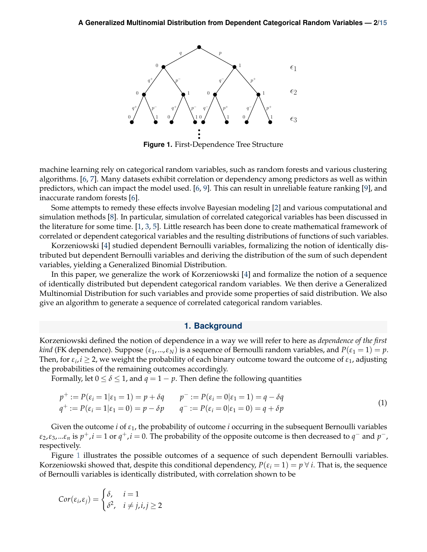<span id="page-1-1"></span>

**Figure 1.** First-Dependence Tree Structure

machine learning rely on categorical random variables, such as random forests and various clustering algorithms. [\[6,](#page-14-1) [7\]](#page-14-2). Many datasets exhibit correlation or dependency among predictors as well as within predictors, which can impact the model used. [\[6,](#page-14-1) [9\]](#page-14-3). This can result in unreliable feature ranking [\[9\]](#page-14-3), and inaccurate random forests [\[6\]](#page-14-1).

Some attempts to remedy these effects involve Bayesian modeling [\[2\]](#page-13-2) and various computational and simulation methods [\[8\]](#page-14-4). In particular, simulation of correlated categorical variables has been discussed in the literature for some time. [\[1,](#page-13-3) [3,](#page-13-4) [5\]](#page-13-5). Little research has been done to create mathematical framework of correlated or dependent categorical variables and the resulting distributions of functions of such variables.

Korzeniowski [\[4\]](#page-13-6) studied dependent Bernoulli variables, formalizing the notion of identically distributed but dependent Bernoulli variables and deriving the distribution of the sum of such dependent variables, yielding a Generalized Binomial Distribution.

In this paper, we generalize the work of Korzeniowski [\[4\]](#page-13-6) and formalize the notion of a sequence of identically distributed but dependent categorical random variables. We then derive a Generalized Multinomial Distribution for such variables and provide some properties of said distribution. We also give an algorithm to generate a sequence of correlated categorical random variables.

## **1. Background**

<span id="page-1-0"></span>Korzeniowski defined the notion of dependence in a way we will refer to here as *dependence of the first kind* (FK dependence). Suppose  $(\epsilon_1, ..., \epsilon_N)$  is a sequence of Bernoulli random variables, and  $P(\epsilon_1 = 1) = p$ . Then, for  $\varepsilon_i$ ,  $i \geq 2$ , we weight the probability of each binary outcome toward the outcome of  $\varepsilon_1$ , adjusting the probabilities of the remaining outcomes accordingly.

Formally, let  $0 \le \delta \le 1$ , and  $q = 1 - p$ . Then define the following quantities

$$
p^{+} := P(\varepsilon_{i} = 1 | \varepsilon_{1} = 1) = p + \delta q \qquad p^{-} := P(\varepsilon_{i} = 0 | \varepsilon_{1} = 1) = q - \delta q
$$
  
\n
$$
q^{+} := P(\varepsilon_{i} = 1 | \varepsilon_{1} = 0) = p - \delta p \qquad q^{-} := P(\varepsilon_{i} = 0 | \varepsilon_{1} = 0) = q + \delta p
$$
\n(1)

Given the outcome *i* of *ε*1, the probability of outcome *i* occurring in the subsequent Bernoulli variables  $\varepsilon_2$ , $\varepsilon_3$ ,... $\varepsilon_n$  is  $p^+, i = 1$  or  $q^+, i = 0$ . The probability of the opposite outcome is then decreased to  $q^-$  and  $p^-$ , respectively.

Figure [1](#page-1-1) illustrates the possible outcomes of a sequence of such dependent Bernoulli variables. Korzeniowski showed that, despite this conditional dependency,  $P(\varepsilon_i = 1) = p \,\forall \,i$ . That is, the sequence of Bernoulli variables is identically distributed, with correlation shown to be

$$
Cor(\varepsilon_i, \varepsilon_j) = \begin{cases} \delta, & i = 1 \\ \delta^2, & i \neq j, i, j \ge 2 \end{cases}
$$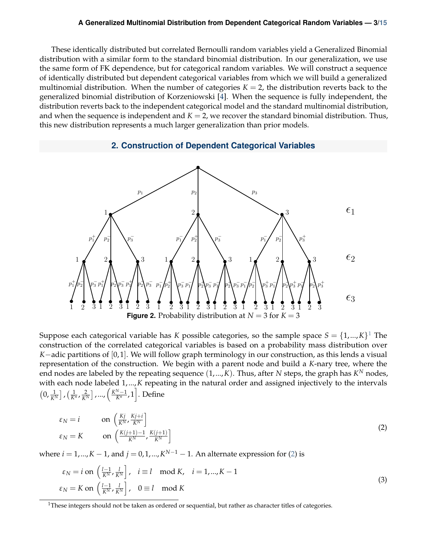#### **A Generalized Multinomial Distribution from Dependent Categorical Random Variables — 3[/15](#page-14-0)**

These identically distributed but correlated Bernoulli random variables yield a Generalized Binomial distribution with a similar form to the standard binomial distribution. In our generalization, we use the same form of FK dependence, but for categorical random variables. We will construct a sequence of identically distributed but dependent categorical variables from which we will build a generalized multinomial distribution. When the number of categories  $K = 2$ , the distribution reverts back to the generalized binomial distribution of Korzeniowski [\[4\]](#page-13-6). When the sequence is fully independent, the distribution reverts back to the independent categorical model and the standard multinomial distribution, and when the sequence is independent and  $K = 2$ , we recover the standard binomial distribution. Thus, this new distribution represents a much larger generalization than prior models.

# **2. Construction of Dependent Categorical Variables**

<span id="page-2-3"></span><span id="page-2-0"></span>

Suppose each categorical variable has *K* possible categories, so the sample space  $S = \{1,...,K\}^1$  $S = \{1,...,K\}^1$  $S = \{1,...,K\}^1$  The construction of the correlated categorical variables is based on a probability mass distribution over *K*−adic partitions of [0,1]. We will follow graph terminology in our construction, as this lends a visual representation of the construction. We begin with a parent node and build a *K*-nary tree, where the end nodes are labeled by the repeating sequence  $(1,...,K)$ . Thus, after  $N$  steps, the graph has  $K^N$  nodes, with each node labeled 1,...,*K* repeating in the natural order and assigned injectively to the intervals  $(0, \frac{1}{K^N}]$ ,  $(\frac{1}{K^n}, \frac{2}{K^N}]$ , ...,  $(\frac{K^N-1}{K^n}, 1]$ . Define

<span id="page-2-2"></span>
$$
\varepsilon_N = i \qquad \text{on } \left( \frac{Kj}{K^N}, \frac{Kj+i}{K^N} \right] \n\varepsilon_N = K \qquad \text{on } \left( \frac{K(j+1)-1}{K^N}, \frac{K(j+1)}{K^N} \right]
$$
\n(2)

where  $i = 1, ..., K - 1$ , and  $j = 0, 1, ..., K^{N-1} - 1$ . An alternate expression for [\(2\)](#page-2-2) is

<span id="page-2-4"></span>
$$
\varepsilon_N = i \text{ on } \left(\frac{l-1}{K^N}, \frac{l}{K^N}\right], \quad i \equiv l \mod K, \quad i = 1, \dots, K-1
$$
\n
$$
\varepsilon_N = K \text{ on } \left(\frac{l-1}{K^N}, \frac{l}{K^N}\right], \quad 0 \equiv l \mod K
$$
\n(3)

<span id="page-2-1"></span> $1$ These integers should not be taken as ordered or sequential, but rather as character titles of categories.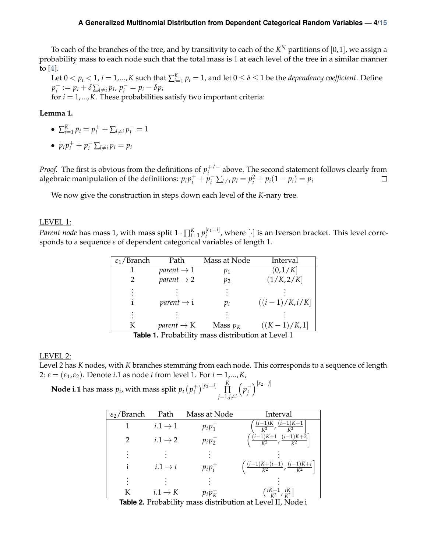#### **A Generalized Multinomial Distribution from Dependent Categorical Random Variables — 4[/15](#page-14-0)**

To each of the branches of the tree, and by transitivity to each of the  $K^N$  partitions of  $[0,1]$ , we assign a probability mass to each node such that the total mass is 1 at each level of the tree in a similar manner to [\[4\]](#page-13-6).

Let  $0 < p_i < 1$ ,  $i = 1,...,K$  such that  $\sum_{i=1}^{K} p_i = 1$ , and let  $0 \le \delta \le 1$  be the *dependency coefficient*. Define  $p_i^+$  $p_i^+ := p_i + \delta \sum_{l \neq i} p_l$ ,  $p_i^- = p_i - \delta p_i$ 

for  $i = 1, \ldots, K$ . These probabilities satisfy two important criteria:

<span id="page-3-0"></span>**Lemma 1.**

- $\sum_{i=1}^{K} p_i = p_i^+ + \sum_{l \neq i} p_l^- = 1$
- $p_i p_i^+ + p_i^- \sum_{l \neq i} p_l = p_i$

*Proof.* The first is obvious from the definitions of  $p_i^{+/-}$  above. The second statement follows clearly from algebraic manipulation of the definitions:  $p_i p_i^+ + p_i^- \sum_{l \neq i} p_l = p_i^2 + p_i(1 - p_i) = p_i$  $\Box$ 

We now give the construction in steps down each level of the *K*-nary tree.

### LEVEL 1:

*Parent node* has mass 1, with mass split  $1 \cdot \prod_{i=1}^K p_i^{[\varepsilon_1=i]}$  $\binom{[e]}{i}$ , where  $[\cdot]$  is an Iverson bracket. This level corresponds to a sequence *ε* of dependent categorical variables of length 1.

| $\epsilon_1$ /Branch                                    | Path                   | Mass at Node | Interval        |  |  |  |
|---------------------------------------------------------|------------------------|--------------|-----------------|--|--|--|
|                                                         | parent $\rightarrow$ 1 | $p_1$        | (0,1/K]         |  |  |  |
|                                                         | parent $\rightarrow$ 2 | $p_2$        | (1/K, 2/K]      |  |  |  |
|                                                         |                        |              |                 |  |  |  |
| $\mathbf{1}$                                            | parent $\rightarrow$ i | $p_i$        | $((i-1)/K,i/K]$ |  |  |  |
|                                                         |                        |              |                 |  |  |  |
| K                                                       | parent $\rightarrow$ K | Mass $p_K$   | $((K-1)/K,1]$   |  |  |  |
| <b>Table 1</b> Probability mass distribution at Layal 1 |                        |              |                 |  |  |  |

# **Table 1.** Probability mass distribution at Level 1

#### LEVEL 2:

Level 2 has *K* nodes, with *K* branches stemming from each node. This corresponds to a sequence of length 2: *ε* = (*ε*1,*ε*2). Denote *i*.1 as node *i* from level 1. For *i* = 1,...,*K*,

**Node i.1** has mass  $p_i$ , with mass split  $p_i\left(p_i^+\right)$  $\binom{1}{i}$ <sup>[ε<sub>2</sub>=*i*]</sup>  $\prod_{i=1}^{K}$ ∏  $j=1, j\neq i$  $\left(p_j^{-}\right)$  $\left[\epsilon_2=j\right]$ 

| $\epsilon_2$ /Branch | Path                | Mass at Node                          | Interval                                                                           |
|----------------------|---------------------|---------------------------------------|------------------------------------------------------------------------------------|
|                      | $i.1 \rightarrow 1$ | $p_i p_1^-$                           | $\frac{(i-1)K}{K^2}$ , $\frac{(i-1)K+1}{K^2}$                                      |
| 2                    | $i.1 \rightarrow 2$ | $p_i p_2^-$                           | $\left(\frac{(i-1)K+1}{K^2}, \frac{(i-1)K+2}{K^2}\right]$                          |
|                      |                     |                                       |                                                                                    |
|                      | $i.1 \rightarrow i$ | $p_i p_i^+$                           | $\left(\frac{(i-1)K+(i-1)}{K^2},\frac{(i-1)K+i}{K^2}\right)$                       |
|                      |                     |                                       |                                                                                    |
| K                    | $i.1 \rightarrow K$ | $p_i p_k^-$<br>1.1.1<br>$\sim$ $\sim$ | , $\frac{iK}{K^2}$<br>$iK-1$<br>$\mathbf{1}$<br>$\mathbf{r}$<br>$1$ TT $\lambda$ T |

**Table 2.** Probability mass distribution at Level II, Node i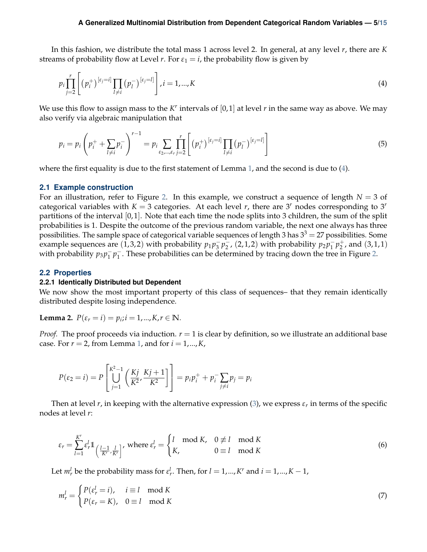In this fashion, we distribute the total mass 1 across level 2. In general, at any level *r*, there are *K* streams of probability flow at Level *r*. For  $\varepsilon_1 = i$ , the probability flow is given by

<span id="page-4-3"></span>
$$
p_{i} \prod_{j=2}^{r} \left[ (p_{i}^{+})^{[\varepsilon_{j}=i]} \prod_{l \neq i} (p_{l}^{-})^{[\varepsilon_{j}=l]} \right], i = 1,...,K
$$
\n(4)

We use this flow to assign mass to the  $K^r$  intervals of  $[0,1]$  at level  $r$  in the same way as above. We may also verify via algebraic manipulation that

$$
p_i = p_i \left( p_i^+ + \sum_{l \neq i} p_i^- \right)^{r-1} = p_i \sum_{\varepsilon_2, \dots, \varepsilon_r} \prod_{j=2}^r \left[ (p_i^+)^{[\varepsilon_j = i]} \prod_{l \neq i} (p_l^-)^{[\varepsilon_j = l]} \right]
$$
(5)

where the first equality is due to the first statement of Lemma [1,](#page-3-0) and the second is due to [\(4\)](#page-4-3).

#### <span id="page-4-0"></span>**2.1 Example construction**

For an illustration, refer to Figure [2.](#page-2-3) In this example, we construct a sequence of length  $N = 3$  of categorical variables with  $K = 3$  categories. At each level *r*, there are 3<sup>*r*</sup> nodes corresponding to 3<sup>*r*</sup> partitions of the interval  $[0, 1]$ . Note that each time the node splits into 3 children, the sum of the split probabilities is 1. Despite the outcome of the previous random variable, the next one always has three possibilities. The sample space of categorical variable sequences of length 3 has  $3<sup>3</sup> = 27$  possibilities. Some example sequences are  $(1,3,2)$  with probability  $p_1p_3^-p_2^-$ ,  $(2,1,2)$  with probability  $p_2p_1^-p_2^+$  $_2^+$ , and  $(3,1,1)$ with probability  $p_3 p_1^- p_1^-$ . These probabilities can be determined by tracing down the tree in Figure [2.](#page-2-3)

### <span id="page-4-1"></span>**2.2 Properties**

#### <span id="page-4-2"></span>**2.2.1 Identically Distributed but Dependent**

We now show the most important property of this class of sequences– that they remain identically distributed despite losing independence.

**Lemma 2.**  $P(\varepsilon_r = i) = p_i; i = 1, ..., K, r \in \mathbb{N}$ .

*Proof.* The proof proceeds via induction.  $r = 1$  is clear by definition, so we illustrate an additional base case. For  $r = 2$ , from Lemma [1,](#page-3-0) and for  $i = 1, ..., K$ ,

$$
P(\varepsilon_2 = i) = P\left[\bigcup_{j=1}^{K^2-1} \left(\frac{Kj}{K^2}, \frac{Kj+1}{K^2}\right)\right] = p_i p_i^+ + p_i^- \sum_{j \neq i} p_j = p_i
$$

Then at level  $r$ , in keeping with the alternative expression [\(3\)](#page-2-4), we express  $\varepsilon_r$  in terms of the specific nodes at level *r*:

$$
\varepsilon_r = \sum_{l=1}^{K^r} \varepsilon_r^l 1\left(\frac{l-1}{K^r}, \frac{l}{K^r}\right), \text{ where } \varepsilon_r^l = \begin{cases} l \mod K, & 0 \not\equiv l \mod K \\ K, & 0 \equiv l \mod K \end{cases}
$$
 (6)

Let  $m_r^l$  be the probability mass for  $\varepsilon_r^l$ . Then, for  $l = 1, ..., K^r$  and  $i = 1, ..., K - 1$ ,

$$
m_r^l = \begin{cases} P(\varepsilon_r^l = i), & i \equiv l \mod K \\ P(\varepsilon_r = K), & 0 \equiv l \mod K \end{cases}
$$
 (7)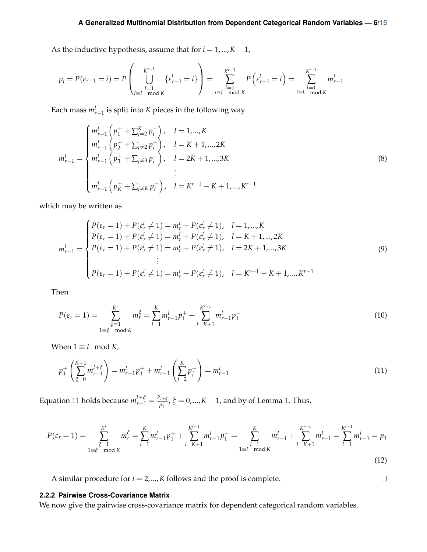As the inductive hypothesis, assume that for  $i = 1, ..., K - 1$ ,

$$
p_i = P(\varepsilon_{r-1} = i) = P\left(\bigcup_{\substack{l=1 \ l \equiv l \mod K}}^{K^{r-1}} {\varepsilon_{r-1}^l} = i \right) = \sum_{\substack{l=1 \ l \equiv l \mod K}}^{K^{r-1}} P\left(\varepsilon_{r-1}^l = i\right) = \sum_{\substack{l=1 \ l \equiv l \mod K}}^{K^{r-1}} m_{r-1}^l
$$

Each mass  $m_{r-1}^l$  is split into *K* pieces in the following way

$$
m_{r-1}^{l} = \begin{cases} m_{r-1}^{l} \left( p_1^+ + \sum_{j=2}^K p_j^- \right), & l = 1, ..., K \\ m_{r-1}^{l} \left( p_2^+ + \sum_{j\neq 2} p_j^- \right), & l = K+1, ..., 2K \\ m_{r-1}^{l} \left( p_3^+ + \sum_{j\neq 3} p_j^- \right), & l = 2K+1, ..., 3K \\ & \vdots \\ m_{r-1}^{l} \left( p_K^+ + \sum_{j\neq K} p_j^- \right), & l = K^{r-1} - K+1, ..., K^{r-1} \end{cases}
$$
(8)

which may be written as

$$
m_{r-1}^{l} = \begin{cases} P(\varepsilon_r = 1) + P(\varepsilon_r^l \neq 1) = m_r^l + P(\varepsilon_r^l \neq 1), & l = 1, ..., K \\ P(\varepsilon_r = 1) + P(\varepsilon_r^l \neq 1) = m_r^l + P(\varepsilon_r^l \neq 1), & l = K + 1, ..., 2K \\ P(\varepsilon_r = 1) + P(\varepsilon_r^l \neq 1) = m_r^l + P(\varepsilon_r^l \neq 1), & l = 2K + 1, ..., 3K \\ & \vdots \\ P(\varepsilon_r = 1) + P(\varepsilon_r^l \neq 1) = m_r^l + P(\varepsilon_r^l \neq 1), & l = K^{r-1} - K + 1, ..., K^{r-1} \end{cases} \tag{9}
$$

Then

$$
P(\varepsilon_r = 1) = \sum_{\substack{\xi=1\\1 \equiv \xi \mod K}}^{K'} m_r^{\xi} = \sum_{l=1}^{K} m_{r-1}^l p_1^+ + \sum_{l=K+1}^{K^{r-1}} m_{r-1}^l p_1^- \tag{10}
$$

When  $1 \equiv l \mod K$ ,

<span id="page-5-1"></span>
$$
p_1^+ \left( \sum_{\xi=0}^{K-1} m_{r-1}^{l+\xi} \right) = m_{r-1}^l p_1^+ + m_{r-1}^l \left( \sum_{j=2}^K p_j^- \right) = m_{r-1}^l \tag{11}
$$

Equation [11](#page-5-1) holds because  $m_{r-1}^{l+\xi} = \frac{p_{l+\xi}^-}{p_1^+}$  $\hat{p}^{\frac{1+\xi}{p_1}}$ ,  $\tilde{\zeta} = 0,...,K-1$ , and by of Lemma [1.](#page-3-0) Thus,

$$
P(\varepsilon_r = 1) = \sum_{\substack{\xi=1 \ \xi \mod K}}^{K'} m_r^{\xi} = \sum_{l=1}^{K} m_{r-1}^l p_1^+ + \sum_{l=K+1}^{K^{r-1}} m_{r-1}^l p_1^- = \sum_{\substack{l=1 \ \text{mod } K}}^{K} m_{r-1}^l + \sum_{l=K+1}^{K^{r-1}} m_{r-1}^l = \sum_{l=1}^{K^{r-1}} m_{r-1}^l = p_1
$$
\n(12)

 $\Box$ 

A similar procedure for  $i = 2, ..., K$  follows and the proof is complete.

## <span id="page-5-0"></span>**2.2.2 Pairwise Cross-Covariance Matrix**

We now give the pairwise cross-covariance matrix for dependent categorical random variables.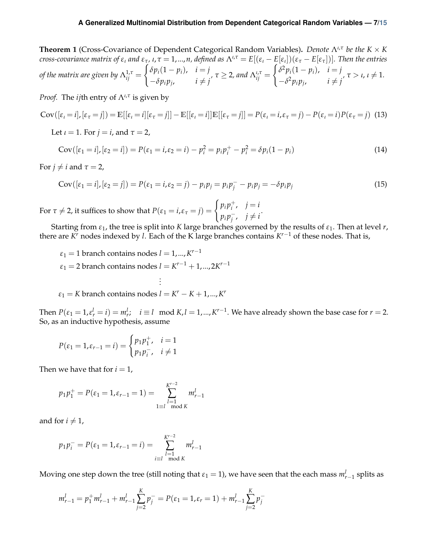**Theorem 1** (Cross-Covariance of Dependent Categorical Random Variables)**.** *Denote* Λ*ι*,*<sup>τ</sup> be the K* × *K* cross-covariance matrix of  $\varepsilon_i$  and  $\varepsilon_\tau$ ,  $\iota$ ,  $\tau=1,...,n$ , defined as  $\Lambda^{\iota,\tau}=E[(\varepsilon_i-E[\varepsilon_i])(\varepsilon_\tau-E[\varepsilon_\tau])].$  Then the entries of the matrix are given by  $\Lambda_{ij}^{1,\tau} =$  $\int \delta p_i (1 - p_i)$ ,  $i = j$  $-\delta p_i p_j$ ,  $i \neq j$ *,*  $\tau \geq 2$ , and  $\Lambda_{ij}^{\iota,\tau} =$  $\int \delta^2 p_i (1 - p_i), \quad i = j$  $-\delta^2 p_i p_j$ ,  $i \neq j$  $\tau > \iota, \iota \neq 1.$ 

*Proof.* The *ij*th entry of Λ*ι*,*<sup>τ</sup>* is given by

$$
Cov([\varepsilon_t = i], [\varepsilon_\tau = j]) = \mathbb{E}[[\varepsilon_t = i][\varepsilon_\tau = j]] - \mathbb{E}[[\varepsilon_t = i]]\mathbb{E}[[\varepsilon_\tau = j]] = P(\varepsilon_t = i, \varepsilon_\tau = j) - P(\varepsilon_t = i)P(\varepsilon_\tau = j)
$$
(13)

Let  $\iota = 1$ . For  $j = i$ , and  $\tau = 2$ ,

$$
Cov([\varepsilon_1 = i], [\varepsilon_2 = i]) = P(\varepsilon_1 = i, \varepsilon_2 = i) - p_i^2 = p_i p_i^+ - p_i^2 = \delta p_i (1 - p_i)
$$
\n(14)

For  $j \neq i$  and  $\tau = 2$ ,

Cov
$$
([\varepsilon_1 = i], [\varepsilon_2 = j]) = P(\varepsilon_1 = i, \varepsilon_2 = j) - p_i p_j = p_i p_j - p_i p_j = -\delta p_i p_j
$$
 (15)

For  $\tau \neq 2$ , it suffices to show that  $P(\varepsilon_1 = i, \varepsilon_\tau = j) = \begin{cases} p_i p_i^+ \\ n_i p_i^- \end{cases}$  $i^+$ ,  $j = i$  $p_i p_j^-$ ,  $j \neq i$ 

Starting from *ε*1, the tree is split into *K* large branches governed by the results of *ε*1. Then at level *r*, there are *K <sup>r</sup>* nodes indexed by *l*. Each of the K large branches contains *K <sup>r</sup>*−<sup>1</sup> of these nodes. That is,

$$
\varepsilon_1 = 1
$$
 branch contains nodes  $l = 1, ..., K^{r-1}$   
\n $\varepsilon_1 = 2$  branch contains nodes  $l = K^{r-1} + 1, ..., 2K^{r-1}$   
\n $\vdots$ 

 $\varepsilon_1 = K$  branch contains nodes  $l = K^r - K + 1, ..., K^r$ 

Then  $P(\varepsilon_1 = 1, \varepsilon_r^l = i) = m_r^l$ ;  $i \equiv l \mod K$ ,  $l = 1, ..., K^{r-1}$ . We have already shown the base case for  $r = 2$ . So, as an inductive hypothesis, assume

$$
P(\varepsilon_1 = 1, \varepsilon_{r-1} = i) = \begin{cases} p_1 p_1^+, & i = 1 \\ p_1 p_i^-, & i \neq 1 \end{cases}
$$

Then we have that for  $i = 1$ ,

$$
p_1 p_1^+ = P(\varepsilon_1 = 1, \varepsilon_{r-1} = 1) = \sum_{\substack{l=1 \ l \equiv 0 \mod K}}^{K^{r-2}} m_{r-1}^l
$$

and for  $i \neq 1$ ,

$$
p_1 p_i^- = P(\varepsilon_1 = 1, \varepsilon_{r-1} = i) = \sum_{\substack{l=1 \ \text{mod } K}}^{K^{r-2}} m_{r-1}^l
$$

Moving one step down the tree (still noting that  $\varepsilon_1 = 1$ ), we have seen that the each mass  $m_{r-1}^l$  splits as

$$
m_{r-1}^l = p_1^+ m_{r-1}^l + m_{r-1}^l \sum_{j=2}^K p_j^- = P(\varepsilon_1 = 1, \varepsilon_r = 1) + m_{r-1}^l \sum_{j=2}^K p_j^-
$$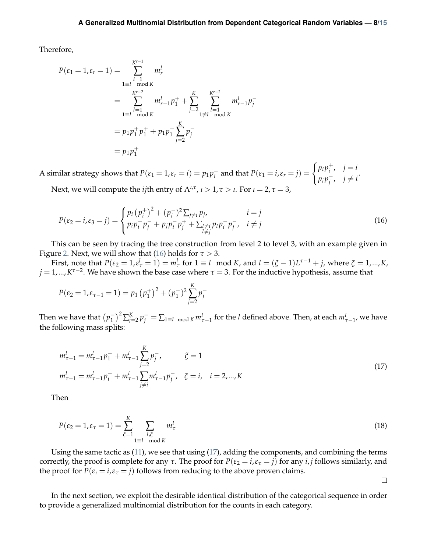Therefore,

$$
P(\varepsilon_1 = 1, \varepsilon_r = 1) = \sum_{\substack{l=1 \ l \equiv l \mod K}}^{K^{r-1}} m_r^l
$$
  
= 
$$
\sum_{\substack{l=1 \ l \equiv l \mod K}}^{K^{r-2}} m_{r-1}^l p_1^+ + \sum_{j=2}^K \sum_{\substack{l=1 \ l \equiv l \mod K}}^{K^{r-2}} m_{r-1}^l p_j^-
$$
  
= 
$$
p_1 p_1^+ p_1^+ + p_1 p_1^+ \sum_{j=2}^K p_j^-
$$
  
= 
$$
p_1 p_1^+
$$

A similar strategy shows that  $P(\varepsilon_1 = 1, \varepsilon_r = i) = p_1 p_i^-$  and that  $P(\varepsilon_1 = i, \varepsilon_r = j) = \begin{cases} p_i p_i^+ & \text{if } i = j \\ n_i p_i^- & \text{if } i = j \end{cases}$  $i^+$ ,  $j = i$  $p_i p_j^-$ ,  $j \neq i$ 

Next, we will compute the *ij*th entry of  $\Lambda^{l,\tau}$ ,  $l > 1$ ,  $\tau > l$ . For  $l = 2$ ,  $\tau = 3$ ,

$$
P(\varepsilon_2 = i, \varepsilon_3 = j) = \begin{cases} p_i (p_i^+)^2 + (p_i^-)^2 \sum_{j \neq i} p_j, & i = j \\ p_i p_i^+ p_j^- + p_j p_i^- p_j^+ + \sum_{\substack{l \neq i \\ l \neq j}} p_l p_i^- p_j^-, & i \neq j \end{cases}
$$
(16)

This can be seen by tracing the tree construction from level 2 to level 3, with an example given in Figure [2.](#page-2-3) Next, we will show that [\(16\)](#page-7-0) holds for  $\tau > 3$ .

First, note that  $P(\varepsilon_2 = 1, \varepsilon_\tau^l = 1) = m_\tau^l$  for  $1 \equiv l \mod K$ , and  $l = (\xi - 1)L^{\tau-1} + j$ , where  $\xi = 1, ..., K$ , *j* = 1,...,*K τ*−2 . We have shown the base case where *τ* = 3. For the inductive hypothesis, assume that

$$
P(\varepsilon_2 = 1, \varepsilon_{\tau-1} = 1) = p_1 (p_1^+)^2 + (p_1^-)^2 \sum_{j=2}^K p_j^-
$$

<span id="page-7-1"></span>Then we have that  $(p_1^-)^2 \sum_{j=2}^K p_j^- = \sum_{1 \equiv l \mod K} m_{\tau-1}^l$  for the *l* defined above. Then, at each  $m_{\tau-1}^l$ , we have the following mass splits:

$$
m_{\tau-1}^l = m_{\tau-1}^l p_1^+ + m_{\tau-1}^l \sum_{j=2}^K p_j^-, \qquad \xi = 1
$$
  

$$
m_{\tau-1}^l = m_{\tau-1}^l p_i^+ + m_{\tau-1}^l \sum_{j \neq i} m_{\tau-1}^l p_j^-, \quad \xi = i, \quad i = 2, ..., K
$$
 (17)

Then

$$
P(\varepsilon_2 = 1, \varepsilon_\tau = 1) = \sum_{\zeta=1}^K \sum_{\substack{l, \zeta \\ l \equiv l \mod K}} m_\tau^l
$$
\n(18)

Using the same tactic as [\(11\)](#page-5-1), we see that using [\(17\)](#page-7-1), adding the components, and combining the terms correctly, the proof is complete for any  $\tau$ . The proof for  $P(\varepsilon_2 = i, \varepsilon_\tau = j)$  for any *i*, *j* follows similarly, and the proof for  $P(\varepsilon_i = i, \varepsilon_\tau = j)$  follows from reducing to the above proven claims.

<span id="page-7-0"></span> $\Box$ 

In the next section, we exploit the desirable identical distribution of the categorical sequence in order to provide a generalized multinomial distribution for the counts in each category.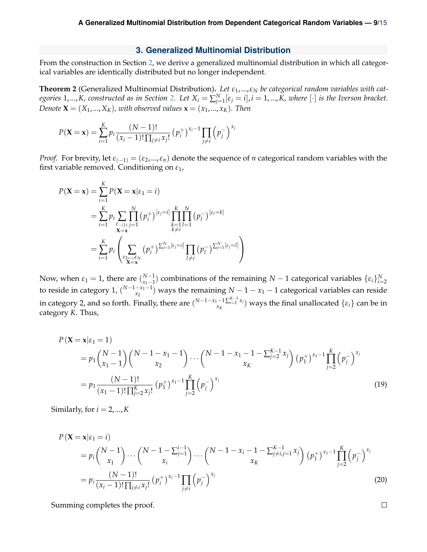#### **3. Generalized Multinomial Distribution**

<span id="page-8-0"></span>From the construction in Section [2,](#page-2-0) we derive a generalized multinomial distribution in which all categorical variables are identically distributed but no longer independent.

**Theorem 2** (Generalized Multinomial Distribution)**.** *Let ε*1,...,*ε<sup>N</sup> be categorical random variables with categories* 1,...,*K, constructed as in Section [2.](#page-2-0) Let*  $X_i = \sum_{j=1}^{N} [\varepsilon_j = i]$ , $i = 1,...,K$ , where  $[\cdot]$  *is the Iverson bracket. Denote*  $\mathbf{X} = (X_1, ..., X_K)$ , with observed values  $\mathbf{x} = (x_1, ..., x_K)$ . Then

$$
P(\mathbf{X} = \mathbf{x}) = \sum_{i=1}^{K} p_i \frac{(N-1)!}{(x_i-1)! \prod_{j \neq i} x_j!} (p_i^+)^{x_i-1} \prod_{j \neq i} (p_j^-)^{x_j}
$$

*Proof.* For brevity, let  $\varepsilon_{(-1)} = (\varepsilon_2, ..., \varepsilon_n)$  denote the sequence of *n* categorical random variables with the first variable removed. Conditioning on *ε*1,

$$
P(\mathbf{X} = \mathbf{x}) = \sum_{i=1}^{K} P(\mathbf{X} = \mathbf{x} | \varepsilon_1 = i)
$$
  
= 
$$
\sum_{i=1}^{K} p_i \sum_{\substack{\varepsilon_{-(1)} \\ \mathbf{X} = \mathbf{x}}} \prod_{j=1}^{N} (p_i^+)^{[\varepsilon_j = i]} \prod_{\substack{k=1 \\ k \neq i}}^{K} \prod_{l=1}^{N} (p_l^-)^{[\varepsilon_l = k]}
$$
  
= 
$$
\sum_{i=1}^{K} p_i \left( \sum_{\substack{\varepsilon_{2}, ..., \varepsilon_N \\ \mathbf{X} = \mathbf{x}}} (p_i^+) \sum_{j=1}^{N} [\varepsilon_j = i] \prod_{l \neq i} (p_l^-) \sum_{j=1}^{N} [\varepsilon_j = l] \right)
$$

Now, when  $ε_1 = 1$ , there are  $\binom{N-1}{x_1-1}$ *x*<sup>1−1</sup></sup> combinations of the remaining *N* − 1 categorical variables  $\{\varepsilon_i\}_{i=2}^N$ to reside in category 1,  $\binom{N-1-x_1-1}{x_2}$  ways the remaining  $N-1-x_1-1$  categorical variables can reside in category 2, and so forth. Finally, there are  $\binom{N-1-x_1-1\sum_{i=2}^{K-1}x_i}{x_k}$  $\sum_{x_K}^{-1} \sum_{i=2}^{x_i} x_i$ ) ways the final unallocated  $\{\varepsilon_i\}$  can be in category *K*. Thus,

$$
P(\mathbf{X} = \mathbf{x} | \varepsilon_1 = 1)
$$
  
=  $p_1 {N-1 \choose x_1-1} {N-1-x_1-1 \choose x_2} \cdots {N-1-x_1-1-\sum_{j=2}^{K-1} x_j \choose x_K} (p_1^+)^{x_1-1} \prod_{j=2}^{K} (p_j^-)^{x_j}$   
=  $p_1 \frac{(N-1)!}{(x_1-1)! \prod_{j=2}^{K} x_j!} (p_1^+)^{x_1-1} \prod_{j=2}^{K} (p_j^-)^{x_j}$  (19)

Similarly, for  $i = 2, ..., K$ 

$$
P(\mathbf{X} = \mathbf{x} | \varepsilon_1 = i)
$$
  
=  $p_i \binom{N-1}{x_1} \cdots \binom{N-1-\sum_{j=1}^{i-1}}{x_i} \cdots \binom{N-1-x_i-1-\sum_{j \neq i, j=1}^{K-1} x_j}{x_K} (p_1^+)^{x_1-1} \prod_{j=2}^{K} (p_j^-)^{x_j}$   
=  $p_i \frac{(N-1)!}{(x_i-1)! \prod_{j \neq i} x_j!} (p_i^+)^{x_i-1} \prod_{j \neq i} (p_j^-)^{x_j}$  (20)

Summing completes the proof.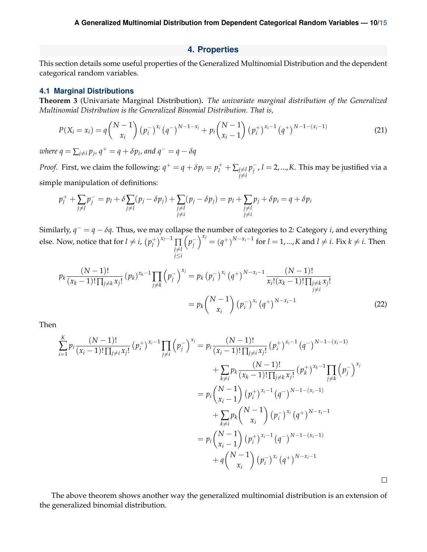## **4. Properties**

<span id="page-9-0"></span>This section details some useful properties of the Generalized Multinomial Distribution and the dependent categorical random variables.

#### <span id="page-9-1"></span>**4.1 Marginal Distributions**

**Theorem 3** (Univariate Marginal Distribution)**.** *The univariate marginal distribution of the Generalized Multinomial Distribution is the Generalized Binomial Distribution. That is,*

$$
P(X_i = x_i) = q {N-1 \choose x_i} (p_i^{-})^{x_i} (q^{-})^{N-1-x_i} + p_i {N-1 \choose x_i-1} (p_i^{+})^{x_i-1} (q^{+})^{N-1-(x_i-1)}
$$
(21)

 $\omega$ here  $q = \sum_{j \neq i} p_j$ ,  $q^+ = q + \delta p_i$ , and  $q^- = q - \delta q$ 

*Proof.* First, we claim the following:  $q^+ = q + \delta p_i = p^+_l + \sum_{j \neq l}$  $j \neq i$ *p*<sub>j</sub><sup>−</sup>, *l* = 2,...,*K*. This may be justified via a simple manipulation of definitions:

$$
p_l^+ + \sum_{j \neq l} p_j^- = p_l + \delta \sum_{j \neq l} (p_j - \delta p_j) + \sum_{\substack{j \neq l \\ j \neq i}} (p_j - \delta p_j) = p_l + \sum_{\substack{j \neq l \\ j \neq i}} p_j + \delta p_i = q + \delta p_i
$$

Similarly,  $q^- = q - \delta q$ . Thus, we may collapse the number of categories to 2: Category *i*, and everything else. Now, notice that for  $l \neq i$ ,  $(p_l^+)$  $\prod_{l}^{+1}$ <sup>x<sub>*l*</sub>−1</sup> ∏ *j≠l j*≤*i*  $\left(p_j^{-}\right)$  $\int_0^{x_j} = (q^+)^{N-x_i-1}$  for *l* = 1,..., *K* and *l*  $\neq$  *i*. Fix *k*  $\neq$  *i*. Then

$$
p_k \frac{(N-1)!}{(x_k-1)!\prod_{j\neq k} x_j!} (p_k)^{x_k-1} \prod_{j\neq k} \left(p_j^{-}\right)^{x_j} = p_k \left(p_i^{-}\right)^{x_i} \left(q^{+}\right)^{N-x_i-1} \frac{(N-1)!}{x_i! (x_k-1)! \prod_{\substack{j\neq k \ j \neq i}} x_j!} = p_k \binom{N-1}{x_i} \left(p_i^{-}\right)^{x_i} \left(q^{+}\right)^{N-x_i-1}
$$
\n(22)

Then

$$
\sum_{i=1}^{K} p_i \frac{(N-1)!}{(x_i-1)!\prod_{j\neq i} x_j!} (p_i^+)^{x_i-1} \prod_{j\neq i} (p_j^-)^{x_j} = p_i \frac{(N-1)!}{(x_i-1)!\prod_{j\neq i} x_j!} (p_i^+)^{x_i-1} (q^-)^{N-1-(x_i-1)} \n+ \sum_{k\neq i} p_k \frac{(N-1)!}{(x_k-1)!\prod_{j\neq k} x_j!} (p_k^+)^{x_k-1} \prod_{j\neq k} (p_j^-)^{x_j} \n= p_i \binom{N-1}{x_i-1} (p_i^+)^{x_i-1} (q^-)^{N-1-(x_i-1)} \n+ \sum_{k\neq i} p_k \binom{N-1}{x_i} (p_i^-)^{x_i} (q^+)^{N-x_i-1} \n= p_i \binom{N-1}{x_i-1} (p_i^+)^{x_i-1} (q^-)^{N-1-(x_i-1)} \n+ q \binom{N-1}{x_i} (p_i^-)^{x_i} (q^+)^{N-x_i-1}
$$

The above theorem shows another way the generalized multinomial distribution is an extension of the generalized binomial distribution.

 $\Box$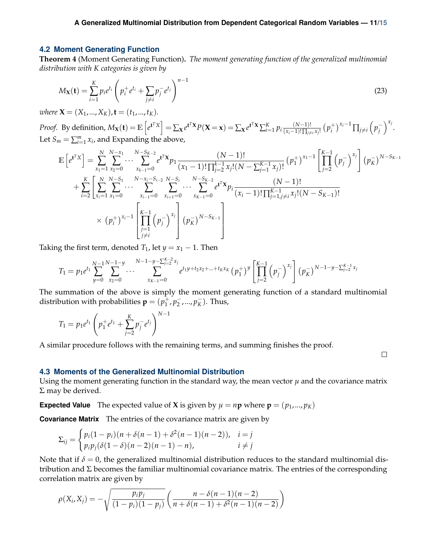## <span id="page-10-0"></span>**4.2 Moment Generating Function**

**Theorem 4** (Moment Generating Function)**.** *The moment generating function of the generalized multinomial distribution with K categories is given by*

$$
M_{\mathbf{X}}(\mathbf{t}) = \sum_{i=1}^{K} p_i e^{t_i} \left( p_i^+ e^{t_i} + \sum_{j \neq i} p_j^- e^{t_j} \right)^{n-1}
$$
(23)

*where*  $X = (X_1, ..., X_K)$ ,  $t = (t_1, ..., t_K)$ .

*Proof.* By definition,  $M_{\mathbf{X}}(\mathbf{t}) = \mathbb{E}\left[e^{\mathbf{t}^T X}\right] = \sum_{\mathbf{X}} e^{\mathbf{t}^T \mathbf{X}} P(\mathbf{X} = \mathbf{x}) = \sum_{\mathbf{X}} e^{\mathbf{t}^T \mathbf{X}} \sum_{i=1}^K p_i \frac{(N-1)!}{(x_i-1)! \prod_{i \neq j} (x_i-1)!}$  $\frac{(N-1)!}{(x_i-1)!\prod_{j\neq i}x_j!}$   $(p_i^+$  $\int_{i}^{+}$ <sup>*xi*</sub>-1</sup>  $\prod_{j\neq i}$   $\left(p_j^{-}\right)$  $\bigg)^{x_j}$ . Let  $S_m = \sum_{i=1}^m x_i$ , and Expanding the above,

$$
\mathbb{E}\left[e^{t^T X}\right] = \sum_{x_1=1}^N \sum_{x_2=0}^{N-x_1} \cdots \sum_{x_{k-1}=0}^{N-S_{K-2}} e^{t^T X} p_1 \frac{(N-1)!}{(x_1-1)! \prod_{j=2}^{k-1} x_j! (N-\sum_{j=1}^{K-1} x_j)!} (p_1^+)^{x_1-1} \left[\prod_{j=2}^{K-1} (p_j^-)^{x_j}\right] (p_K^-)^{N-S_{K-1}}
$$
\n
$$
+ \sum_{i=2}^K \left[\sum_{x_i=1}^N \sum_{x_1=0}^{N-S_1} \cdots \sum_{x_{i-1}=0}^{N-x_i-S_{i-2}} \sum_{x_{i+1}=0}^{N-S_{K-2}} \cdots \sum_{x_{K-1}=0}^{N-S_{K-2}} e^{t^T X} p_i \frac{(N-1)!}{(x_i-1)! \prod_{j=1, j\neq i}^{K-1} x_j! (N-S_{K-1})!} \times (p_i^+)^{x_i-1} \left[\prod_{\substack{j=1 \ j \neq i}}^{K-1} (p_j^-)^{x_j}\right] (p_K^-)^{N-S_{K-1}}\right]
$$

Taking the first term, denoted  $T_1$ , let  $y = x_1 - 1$ . Then

$$
T_1 = p_1 e^{t_1} \sum_{y=0}^{N-1} \sum_{x_2=0}^{N-1-y} \cdots \sum_{x_{K-1}=0}^{N-1-y-\sum_{j=2}^{K-2} x_j} e^{t_1 y + t_2 x_2 + \dots + t_K x_K} (p_1^+)^y \left[ \prod_{j=2}^{K-1} (p_j^-)^{x_j} \right] (p_K^-)^{N-1-y-\sum_{j=2}^{K-1} x_j}
$$

The summation of the above is simply the moment generating function of a standard multinomial distribution with probabilities  $\mathbf{p} = (p_1^+$  $\frac{1}{1}$ *,*  $p_2^-$ *,...,*  $p_K^-$ ). Thus,

$$
T_1 = p_1 e^{t_1} \left( p_1^+ e^{t_1} + \sum_{j=2}^K p_j^- e^{t_j} \right)^{N-1}
$$

A similar procedure follows with the remaining terms, and summing finishes the proof.

## <span id="page-10-1"></span>**4.3 Moments of the Generalized Multinomial Distribution**

Using the moment generating function in the standard way, the mean vector  $\mu$  and the covariance matrix Σ may be derived.

 $\Box$ 

**Expected Value** The expected value of **X** is given by  $\mu = n\mathbf{p}$  where  $\mathbf{p} = (p_1, ..., p_K)$ 

**Covariance Matrix** The entries of the covariance matrix are given by

$$
\Sigma_{ij} = \begin{cases} p_i(1-p_i)(n+\delta(n-1)+\delta^2(n-1)(n-2)), & i = j \\ p_i p_j(\delta(1-\delta)(n-2)(n-1)-n), & i \neq j \end{cases}
$$

Note that if  $\delta = 0$ , the generalized multinomial distribution reduces to the standard multinomial distribution and  $\Sigma$  becomes the familiar multinomial covariance matrix. The entries of the corresponding correlation matrix are given by

$$
\rho(X_i, X_j) = -\sqrt{\frac{p_i p_j}{(1 - p_i)(1 - p_j)}} \left( \frac{n - \delta(n - 1)(n - 2)}{n + \delta(n - 1) + \delta^2(n - 1)(n - 2)} \right)
$$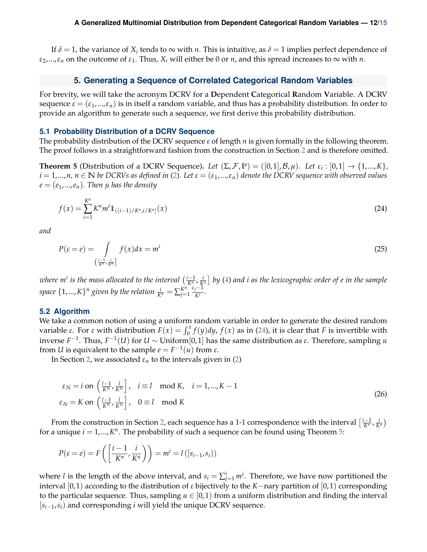If  $\delta = 1$ , the variance of  $X_i$  tends to  $\infty$  with *n*. This is intuitive, as  $\delta = 1$  implies perfect dependence of  $\varepsilon_2$ ,..., $\varepsilon_n$  on the outcome of  $\varepsilon_1$ . Thus,  $X_i$  will either be 0 or *n*, and this spread increases to  $\infty$  with *n*.

## **5. Generating a Sequence of Correlated Categorical Random Variables**

<span id="page-11-0"></span>For brevity, we will take the acronym DCRV for a **D**ependent **C**ategorical **R**andom **V**ariable. A DCRV sequence  $\varepsilon = (\varepsilon_1, ..., \varepsilon_n)$  is in itself a random variable, and thus has a probability distribution. In order to provide an algorithm to generate such a sequence, we first derive this probability distribution.

#### <span id="page-11-1"></span>**5.1 Probability Distribution of a DCRV Sequence**

The probability distribution of the DCRV sequence *ε* of length *n* is given formally in the following theorem. The proof follows in a straightforward fashion from the construction in Section [2](#page-2-0) and is therefore omitted.

**Theorem 5** (Distribution of a DCRV Sequence). Let  $(\Sigma, \mathcal{F}, \mathbb{P}) = ([0,1], \mathcal{B}, \mu)$ *. Let*  $\varepsilon_i : [0,1] \to \{1,...,K\}$ *,*  $i = 1,...,n$ ,  $n \in \mathbb{N}$  be DCRVs as defined in [\(2\)](#page-2-2). Let  $\varepsilon = (\varepsilon_1,...,\varepsilon_n)$  denote the DCRV sequence with observed values  $e = (e_1, ..., e_n)$ . Then  $\mu$  has the density

<span id="page-11-3"></span>
$$
f(x) = \sum_{i=1}^{K^n} K^n m^i \mathbb{1}_{((i-1)/K^n, i/K^n]}(x)
$$
\n(24)

<span id="page-11-4"></span>*and*

$$
P(\varepsilon = e) = \int\limits_{\left(\frac{i-1}{K^T}, \frac{i}{K^T}\right]} f(x)dx = m^i
$$
\n(25)

where m $^i$  is the mass allocated to the interval  $(\frac{i-1}{K^n},\frac{i}{K^n}]$  by [\(4\)](#page-4-3) and i as the lexicographic order of  $e$  in the sample space  $\{1,...,K\}$ <sup>n</sup> given by the relation  $\frac{i}{K^n} = \sum_{j=1}^{K^n}$ *j*=1 *εj*−1  $\frac{y}{K}$ .

#### <span id="page-11-2"></span>**5.2 Algorithm**

We take a common notion of using a uniform random variable in order to generate the desired random variable *ε*. For *ε* with distribution  $F(x) = \int_0^x f(y) dy$ ,  $f(x)$  as in [\(24\)](#page-11-3), it is clear that *F* is invertible with inverse *F*<sup>-1</sup>. Thus, *F*<sup>-1</sup>(*U*) for *U* ∼ Uniform[0,1] has the same distribution as *ε*. Therefore, sampling *u* from *U* is equivalent to the sample  $e = F^{-1}(u)$  from *ε*.

In Section [2,](#page-2-0) we associated  $\varepsilon_n$  to the intervals given in [\(2\)](#page-2-2)

$$
\varepsilon_N = i \text{ on } \left(\frac{l-1}{K^N}, \frac{l}{K^N}\right], \quad i \equiv l \mod K, \quad i = 1, \dots, K-1
$$
\n
$$
\varepsilon_N = K \text{ on } \left(\frac{l-1}{K^N}, \frac{l}{K^N}\right], \quad 0 \equiv l \mod K
$$
\n(26)

From the construction in Section [2,](#page-2-0) each sequence has a 1-1 correspondence with the interval  $\left[\frac{i-1}{K^n}, \frac{i}{K^n}\right)$ for a unique  $i = 1, ..., K<sup>n</sup>$ . The probability of such a sequence can be found using Theorem [5:](#page-11-4)

$$
P(\varepsilon = e) = F\left(\left[\frac{i-1}{K^n}, \frac{i}{K^n}\right]\right) = m^i = l\left(\left[s_{i-1}, s_i\right]\right)
$$

where *l* is the length of the above interval, and  $s_i = \sum_{j=1}^i m^j$ . Therefore, we have now partitioned the interval [0, 1) according to the distribution of *ε* bijectively to the *K*−nary partition of [0, 1) corresponding to the particular sequence. Thus, sampling  $u \in [0,1)$  from a uniform distribution and finding the interval [*si*−1,*si*) and corresponding *i* will yield the unique DCRV sequence.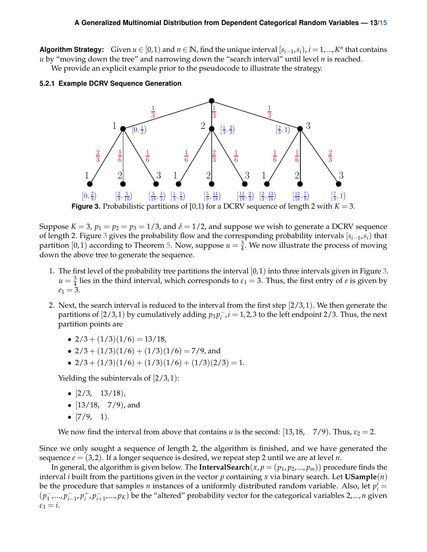**Algorithm Strategy:** Given  $u \in [0,1)$  and  $n \in \mathbb{N}$ , find the unique interval  $[s_{i-1}, s_i)$ ,  $i = 1,..., K^n$  that contains *u* by "moving down the tree" and narrowing down the "search interval" until level *n* is reached.

We provide an explicit example prior to the pseudocode to illustrate the strategy.

#### <span id="page-12-1"></span><span id="page-12-0"></span>**5.2.1 Example DCRV Sequence Generation**



Suppose  $K = 3$ ,  $p_1 = p_2 = p_3 = 1/3$ , and  $\delta = 1/2$ , and suppose we wish to generate a DCRV sequence of length 2. Figure [3](#page-12-1) gives the probability flow and the corresponding probability intervals [*si*−1,*si*) that partition  $[0,1)$  according to Theorem [5.](#page-11-4) Now, suppose  $u=\frac{3}{4}$ . We now illustrate the process of moving down the above tree to generate the sequence.

- 1. The first level of the probability tree partitions the interval [0, 1) into three intervals given in Figure [3.](#page-12-1)  $u = \frac{3}{4}$  lies in the third interval, which corresponds to  $\varepsilon_1 = 3$ . Thus, the first entry of *e* is given by  $e_1 = 3.$
- 2. Next, the search interval is reduced to the interval from the first step  $[2/3, 1)$ . We then generate the partitions of  $[2/3, 1)$  by cumulatively adding  $p_3 p_i^-, i = 1, 2, 3$  to the left endpoint 2/3. Thus, the next partition points are
	- $2/3 + (1/3)(1/6) = 13/18$ ,
	- $2/3 + (1/3)(1/6) + (1/3)(1/6) = 7/9$ , and
	- $2/3 + (1/3)(1/6) + (1/3)(1/6) + (1/3)(2/3) = 1.$

Yielding the subintervals of  $[2/3, 1)$ :

- $\left[2/3, 13/18\right)$ ,
- $[13/18, 7/9)$ , and
- $[7/9, 1)$ .

We now find the interval from above that contains *u* is the second: [13,18, 7/9]. Thus,  $\varepsilon_2 = 2$ .

Since we only sought a sequence of length 2, the algorithm is finished, and we have generated the sequence  $e = (3, 2)$ . If a longer sequence is desired, we repeat step 2 until we are at level *n*.

In general, the algorithm is given below. The **IntervalSearch**( $x, p = (p_1, p_2, ..., p_m)$ ) procedure finds the interval *i* built from the partitions given in the vector *p* containing *x* via binary search. Let **USample**(*n*) be the procedure that samples *n* instances of a uniformly distributed random variable. Also, let  $p'_i$  =  $(p_1^-$ , ...,  $p_{i-1}^-$ ,  $p_i^+$ <sup>+</sup>, *p*<sub>i+1</sub>,…,*p*<sub>K</sub>) be the "altered" probability vector for the categorical variables 2,...,*n* given  $\varepsilon_1 = i$ .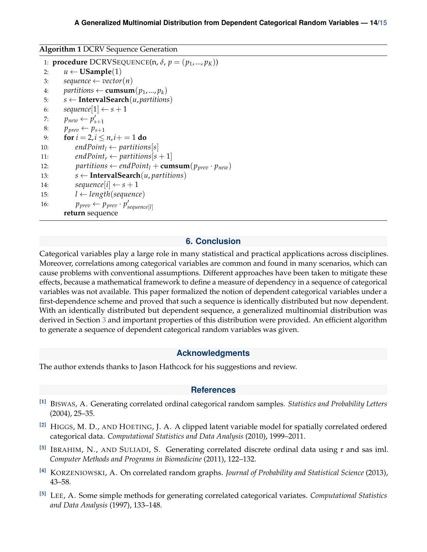**Algorithm 1** DCRV Sequence Generation

```
1: procedure DCRVSEQUENCE(n, \delta, p = (p_1, ..., p_K))
  2: u \leftarrow \textbf{USample}(1)<br>3: sequence \leftarrow vector
  3: sequence \leftarrow vector(n)<br>4: partitions \leftarrow cumsum
  4: partitions \leftarrow cumsum(p_1,..., p_k)<br>5: s \leftarrow Interval Search(u, partitions
  5: s \leftarrow \textbf{IntervalSearch}(u, partitions)<br>6: sequence[1] \leftarrow s+16: sequence[1] \leftarrow s + 1<br>7: p_{new} \leftarrow p'_{s+1}7: p_{new} \leftarrow p'_{s+1}8: p_{\text{prev}} \leftarrow p_{s+1}<br>9: for i = 2, i \leq9: for i = 2, i \leq n, i+=1 do<br>10: endPoint<sub>1</sub> \leftarrow partition
10: endPoint<sub>l</sub> ← partitions[s]<br>11: endPoint<sub>r</sub> ← partitions[s
11: endPoint<sub>r</sub> ← partitions[s + 1]<br>12: partitions ← endPoint<sub>1</sub></sub> + cum
12: partitions \leftarrow endPoint_I + \textbf{cumsum}(p_{prev} \cdot p_{new})<br>13: s \leftarrow \textbf{IntervalSearch}(u, partitions)13: s \leftarrow \textbf{IntervalSearch}(u, partitions)<br>
14: sequence[i] \leftarrow s + 114: sequence[i] \leftarrow s + 1<br>15: l \leftarrow length(sequence)15: l \leftarrow length(sequence)<br>16: p_{nren} \leftarrow p_{nren} \cdot p'_{nren}16: p_{\textit{prev}} \leftarrow p_{\textit{prev}} \cdot p'_{\textit{sequence}[l]}return sequence
```
# **6. Conclusion**

Categorical variables play a large role in many statistical and practical applications across disciplines. Moreover, correlations among categorical variables are common and found in many scenarios, which can cause problems with conventional assumptions. Different approaches have been taken to mitigate these effects, because a mathematical framework to define a measure of dependency in a sequence of categorical variables was not available. This paper formalized the notion of dependent categorical variables under a first-dependence scheme and proved that such a sequence is identically distributed but now dependent. With an identically distributed but dependent sequence, a generalized multinomial distribution was derived in Section [3](#page-8-0) and important properties of this distribution were provided. An efficient algorithm to generate a sequence of dependent categorical random variables was given.

### **Acknowledgments**

<span id="page-13-1"></span><span id="page-13-0"></span>The author extends thanks to Jason Hathcock for his suggestions and review.

#### **References**

- <span id="page-13-3"></span>**[1]** BISWAS, A. Generating correlated ordinal categorical random samples. *Statistics and Probability Letters* (2004), 25–35.
- <span id="page-13-2"></span>**[2]** HIGGS, M. D., AND HOETING, J. A. A clipped latent variable model for spatially correlated ordered categorical data. *Computational Statistics and Data Analysis* (2010), 1999–2011.
- <span id="page-13-4"></span>**[3]** IBRAHIM, N., AND SULIADI, S. Generating correlated discrete ordinal data using r and sas iml. *Computer Methods and Programs in Biomedicine* (2011), 122–132.
- <span id="page-13-6"></span>**[4]** KORZENIOWSKI, A. On correlated random graphs. *Journal of Probability and Statistical Science* (2013), 43–58.
- <span id="page-13-5"></span>**[5]** LEE, A. Some simple methods for generating correlated categorical variates. *Computational Statistics and Data Analysis* (1997), 133–148.